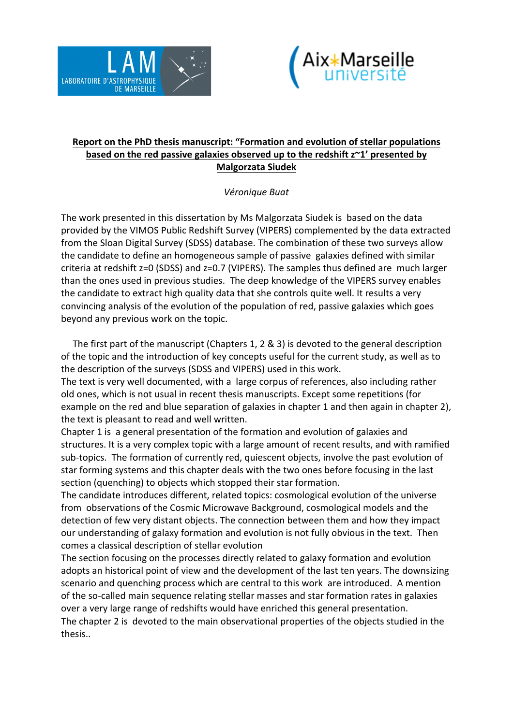



## **Report on the PhD thesis manuscript: "Formation and evolution of stellar populations based on the red passive galaxies observed up to the redshift z~1' presented by Malgorzata Siudek**

## *Véronique Buat*

The work presented in this dissertation by Ms Malgorzata Siudek is based on the data provided by the VIMOS Public Redshift Survey (VIPERS) complemented by the data extracted from the Sloan Digital Survey (SDSS) database. The combination of these two surveys allow the candidate to define an homogeneous sample of passive galaxies defined with similar criteria at redshift z=0 (SDSS) and z=0.7 (VIPERS). The samples thus defined are much larger than the ones used in previous studies. The deep knowledge of the VIPERS survey enables the candidate to extract high quality data that she controls quite well. It results a very convincing analysis of the evolution of the population of red, passive galaxies which goes beyond any previous work on the topic.

The first part of the manuscript (Chapters 1, 2  $\&$  3) is devoted to the general description of the topic and the introduction of key concepts useful for the current study, as well as to the description of the surveys (SDSS and VIPERS) used in this work.

The text is very well documented, with a large corpus of references, also including rather old ones, which is not usual in recent thesis manuscripts. Except some repetitions (for example on the red and blue separation of galaxies in chapter 1 and then again in chapter 2), the text is pleasant to read and well written.

Chapter 1 is a general presentation of the formation and evolution of galaxies and structures. It is a very complex topic with a large amount of recent results, and with ramified sub-topics. The formation of currently red, quiescent objects, involve the past evolution of star forming systems and this chapter deals with the two ones before focusing in the last section (quenching) to objects which stopped their star formation.

The candidate introduces different, related topics: cosmological evolution of the universe from observations of the Cosmic Microwave Background, cosmological models and the detection of few very distant objects. The connection between them and how they impact our understanding of galaxy formation and evolution is not fully obvious in the text. Then comes a classical description of stellar evolution

The section focusing on the processes directly related to galaxy formation and evolution adopts an historical point of view and the development of the last ten years. The downsizing scenario and quenching process which are central to this work are introduced. A mention of the so-called main sequence relating stellar masses and star formation rates in galaxies over a very large range of redshifts would have enriched this general presentation. The chapter 2 is devoted to the main observational properties of the objects studied in the thesis..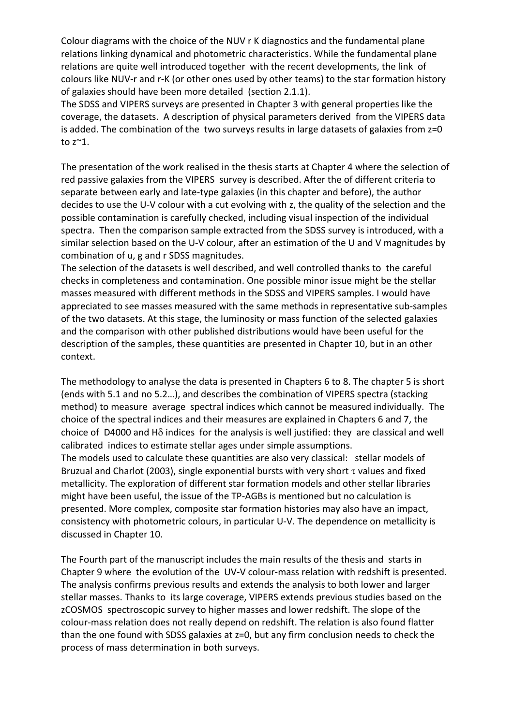Colour diagrams with the choice of the NUV r K diagnostics and the fundamental plane relations linking dynamical and photometric characteristics. While the fundamental plane relations are quite well introduced together with the recent developments, the link of colours like NUV-r and r-K (or other ones used by other teams) to the star formation history of galaxies should have been more detailed (section 2.1.1).

The SDSS and VIPERS surveys are presented in Chapter 3 with general properties like the coverage, the datasets. A description of physical parameters derived from the VIPERS data is added. The combination of the two surveys results in large datasets of galaxies from z=0 to  $z^{\sim}1$ .

The presentation of the work realised in the thesis starts at Chapter 4 where the selection of red passive galaxies from the VIPERS survey is described. After the of different criteria to separate between early and late-type galaxies (in this chapter and before), the author decides to use the U-V colour with a cut evolving with z, the quality of the selection and the possible contamination is carefully checked, including visual inspection of the individual spectra. Then the comparison sample extracted from the SDSS survey is introduced, with a similar selection based on the U-V colour, after an estimation of the U and V magnitudes by combination of u, g and r SDSS magnitudes.

The selection of the datasets is well described, and well controlled thanks to the careful checks in completeness and contamination. One possible minor issue might be the stellar masses measured with different methods in the SDSS and VIPERS samples. I would have appreciated to see masses measured with the same methods in representative sub-samples of the two datasets. At this stage, the luminosity or mass function of the selected galaxies and the comparison with other published distributions would have been useful for the description of the samples, these quantities are presented in Chapter 10, but in an other context.

The methodology to analyse the data is presented in Chapters 6 to 8. The chapter 5 is short (ends with 5.1 and no 5.2...), and describes the combination of VIPERS spectra (stacking method) to measure average spectral indices which cannot be measured individually. The choice of the spectral indices and their measures are explained in Chapters 6 and 7, the choice of D4000 and H $\delta$  indices for the analysis is well justified: they are classical and well calibrated indices to estimate stellar ages under simple assumptions.

The models used to calculate these quantities are also very classical: stellar models of Bruzual and Charlot (2003), single exponential bursts with very short  $\tau$  values and fixed metallicity. The exploration of different star formation models and other stellar libraries might have been useful, the issue of the TP-AGBs is mentioned but no calculation is presented. More complex, composite star formation histories may also have an impact, consistency with photometric colours, in particular U-V. The dependence on metallicity is discussed in Chapter 10.

The Fourth part of the manuscript includes the main results of the thesis and starts in Chapter 9 where the evolution of the UV-V colour-mass relation with redshift is presented. The analysis confirms previous results and extends the analysis to both lower and larger stellar masses. Thanks to its large coverage, VIPERS extends previous studies based on the zCOSMOS spectroscopic survey to higher masses and lower redshift. The slope of the colour-mass relation does not really depend on redshift. The relation is also found flatter than the one found with SDSS galaxies at  $z=0$ , but any firm conclusion needs to check the process of mass determination in both surveys.